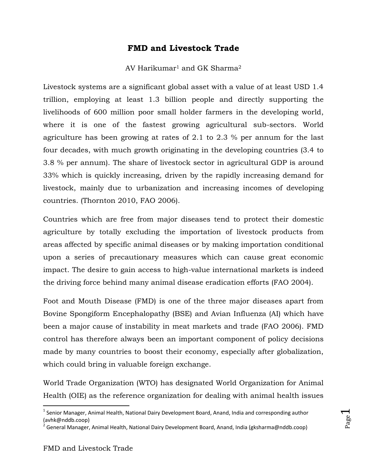# **FMD and Livestock Trade**

# AV Harikumar<sup>1</sup> and GK Sharma<sup>2</sup>

Livestock systems are a significant global asset with a value of at least USD 1.4 trillion, employing at least 1.3 billion people and directly supporting the livelihoods of 600 million poor small holder farmers in the developing world, where it is one of the fastest growing agricultural sub-sectors. World agriculture has been growing at rates of 2.1 to 2.3 % per annum for the last four decades, with much growth originating in the developing countries (3.4 to 3.8 % per annum). The share of livestock sector in agricultural GDP is around 33% which is quickly increasing, driven by the rapidly increasing demand for livestock, mainly due to urbanization and increasing incomes of developing countries. (Thornton 2010, FAO 2006).

Countries which are free from major diseases tend to protect their domestic agriculture by totally excluding the importation of livestock products from areas affected by specific animal diseases or by making importation conditional upon a series of precautionary measures which can cause great economic impact. The desire to gain access to high-value international markets is indeed the driving force behind many animal disease eradication efforts (FAO 2004).

Foot and Mouth Disease (FMD) is one of the three major diseases apart from Bovine Spongiform Encephalopathy (BSE) and Avian Influenza (AI) which have been a major cause of instability in meat markets and trade (FAO 2006). FMD control has therefore always been an important component of policy decisions made by many countries to boost their economy, especially after globalization, which could bring in valuable foreign exchange.

World Trade Organization (WTO) has designated World Organization for Animal Health (OIE) as the reference organization for dealing with animal health issues

 $\overline{\phantom{a}}$ 

Page  $\overline{\phantom{0}}$ 

<sup>&</sup>lt;sup>1</sup> Senior Manager, Animal Health, National Dairy Development Board, Anand, India and corresponding author (avhk@nddb.coop)

<sup>&</sup>lt;sup>2</sup> General Manager, Animal Health, National Dairy Development Board, Anand, India (gksharma@nddb.coop)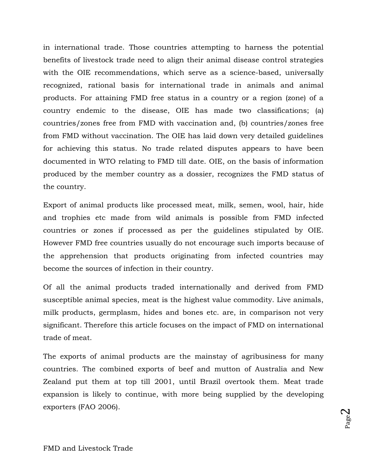in international trade. Those countries attempting to harness the potential benefits of livestock trade need to align their animal disease control strategies with the OIE recommendations, which serve as a science-based, universally recognized, rational basis for international trade in animals and animal products. For attaining FMD free status in a country or a region (zone) of a country endemic to the disease, OIE has made two classifications; (a) countries/zones free from FMD with vaccination and, (b) countries/zones free from FMD without vaccination. The OIE has laid down very detailed guidelines for achieving this status. No trade related disputes appears to have been documented in WTO relating to FMD till date. OIE, on the basis of information produced by the member country as a dossier, recognizes the FMD status of the country.

Export of animal products like processed meat, milk, semen, wool, hair, hide and trophies etc made from wild animals is possible from FMD infected countries or zones if processed as per the guidelines stipulated by OIE. However FMD free countries usually do not encourage such imports because of the apprehension that products originating from infected countries may become the sources of infection in their country.

Of all the animal products traded internationally and derived from FMD susceptible animal species, meat is the highest value commodity. Live animals, milk products, germplasm, hides and bones etc. are, in comparison not very significant. Therefore this article focuses on the impact of FMD on international trade of meat.

The exports of animal products are the mainstay of agribusiness for many countries. The combined exports of beef and mutton of Australia and New Zealand put them at top till 2001, until Brazil overtook them. Meat trade expansion is likely to continue, with more being supplied by the developing exporters (FAO 2006).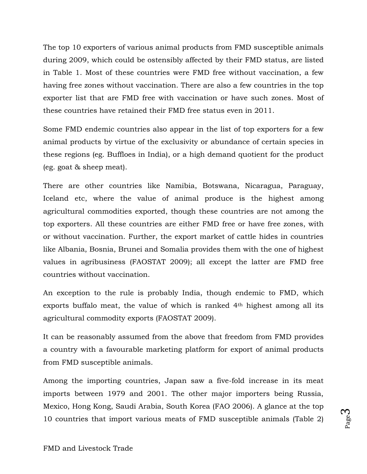The top 10 exporters of various animal products from FMD susceptible animals during 2009, which could be ostensibly affected by their FMD status, are listed in Table 1. Most of these countries were FMD free without vaccination, a few having free zones without vaccination. There are also a few countries in the top exporter list that are FMD free with vaccination or have such zones. Most of these countries have retained their FMD free status even in 2011.

Some FMD endemic countries also appear in the list of top exporters for a few animal products by virtue of the exclusivity or abundance of certain species in these regions (eg. Buffloes in India), or a high demand quotient for the product (eg. goat & sheep meat).

There are other countries like Namibia, Botswana, Nicaragua, Paraguay, Iceland etc, where the value of animal produce is the highest among agricultural commodities exported, though these countries are not among the top exporters. All these countries are either FMD free or have free zones, with or without vaccination. Further, the export market of cattle hides in countries like Albania, Bosnia, Brunei and Somalia provides them with the one of highest values in agribusiness (FAOSTAT 2009); all except the latter are FMD free countries without vaccination.

An exception to the rule is probably India, though endemic to FMD, which exports buffalo meat, the value of which is ranked 4<sup>th</sup> highest among all its agricultural commodity exports (FAOSTAT 2009).

It can be reasonably assumed from the above that freedom from FMD provides a country with a favourable marketing platform for export of animal products from FMD susceptible animals.

Among the importing countries, Japan saw a five-fold increase in its meat imports between 1979 and 2001. The other major importers being Russia, Mexico, Hong Kong, Saudi Arabia, South Korea (FAO 2006). A glance at the top 10 countries that import various meats of FMD susceptible animals (Table 2)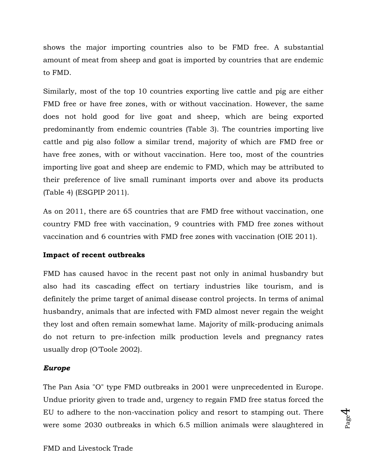shows the major importing countries also to be FMD free. A substantial amount of meat from sheep and goat is imported by countries that are endemic to FMD.

Similarly, most of the top 10 countries exporting live cattle and pig are either FMD free or have free zones, with or without vaccination. However, the same does not hold good for live goat and sheep, which are being exported predominantly from endemic countries (Table 3). The countries importing live cattle and pig also follow a similar trend, majority of which are FMD free or have free zones, with or without vaccination. Here too, most of the countries importing live goat and sheep are endemic to FMD, which may be attributed to their preference of live small ruminant imports over and above its products (Table 4) (ESGPIP 2011).

As on 2011, there are 65 countries that are FMD free without vaccination, one country FMD free with vaccination, 9 countries with FMD free zones without vaccination and 6 countries with FMD free zones with vaccination (OIE 2011).

# **Impact of recent outbreaks**

FMD has caused havoc in the recent past not only in animal husbandry but also had its cascading effect on tertiary industries like tourism, and is definitely the prime target of animal disease control projects. In terms of animal husbandry, animals that are infected with FMD almost never regain the weight they lost and often remain somewhat lame. Majority of milk-producing animals do not return to pre-infection milk production levels and pregnancy rates usually drop (O'Toole 2002).

### *Europe*

The Pan Asia "O" type FMD outbreaks in 2001 were unprecedented in Europe. Undue priority given to trade and, urgency to regain FMD free status forced the EU to adhere to the non-vaccination policy and resort to stamping out. There were some 2030 outbreaks in which 6.5 million animals were slaughtered in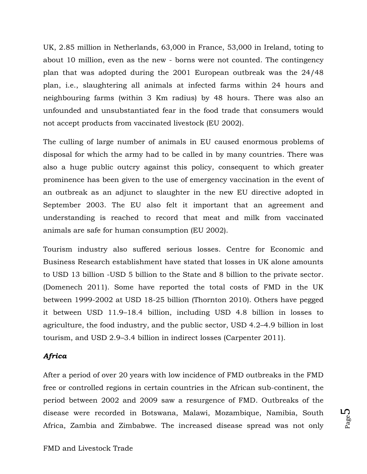UK, 2.85 million in Netherlands, 63,000 in France, 53,000 in Ireland, toting to about 10 million, even as the new - borns were not counted. The contingency plan that was adopted during the 2001 European outbreak was the 24/48 plan, i.e., slaughtering all animals at infected farms within 24 hours and neighbouring farms (within 3 Km radius) by 48 hours. There was also an unfounded and unsubstantiated fear in the food trade that consumers would not accept products from vaccinated livestock (EU 2002).

The culling of large number of animals in EU caused enormous problems of disposal for which the army had to be called in by many countries. There was also a huge public outcry against this policy, consequent to which greater prominence has been given to the use of emergency vaccination in the event of an outbreak as an adjunct to slaughter in the new EU directive adopted in September 2003. The EU also felt it important that an agreement and understanding is reached to record that meat and milk from vaccinated animals are safe for human consumption (EU 2002).

Tourism industry also suffered serious losses. Centre for Economic and Business Research establishment have stated that losses in UK alone amounts to USD 13 billion -USD 5 billion to the State and 8 billion to the private sector. (Domenech 2011). Some have reported the total costs of FMD in the UK between 1999-2002 at USD 18-25 billion (Thornton 2010). Others have pegged it between USD 11.9–18.4 billion, including USD 4.8 billion in losses to agriculture, the food industry, and the public sector, USD 4.2–4.9 billion in lost tourism, and USD 2.9–3.4 billion in indirect losses (Carpenter 2011).

### *Africa*

After a period of over 20 years with low incidence of FMD outbreaks in the FMD free or controlled regions in certain countries in the African sub-continent, the period between 2002 and 2009 saw a resurgence of FMD. Outbreaks of the disease were recorded in Botswana, Malawi, Mozambique, Namibia, South Africa, Zambia and Zimbabwe. The increased disease spread was not only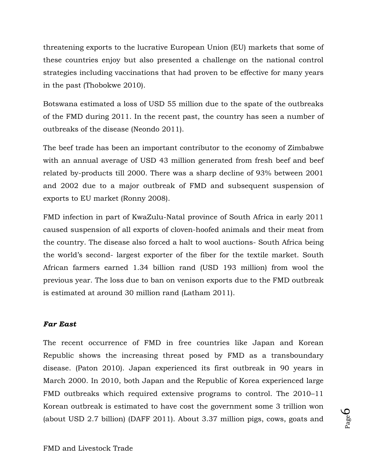threatening exports to the lucrative European Union (EU) markets that some of these countries enjoy but also presented a challenge on the national control strategies including vaccinations that had proven to be effective for many years in the past (Thobokwe 2010).

Botswana estimated a loss of USD 55 million due to the spate of the outbreaks of the FMD during 2011. In the recent past, the country has seen a number of outbreaks of the disease (Neondo 2011).

The beef trade has been an important contributor to the economy of Zimbabwe with an annual average of USD 43 million generated from fresh beef and beef related by-products till 2000. There was a sharp decline of 93% between 2001 and 2002 due to a major outbreak of FMD and subsequent suspension of exports to EU market (Ronny 2008).

FMD infection in part of KwaZulu-Natal province of South Africa in early 2011 caused suspension of all exports of cloven-hoofed animals and their meat from the country. The disease also forced a halt to wool auctions- South Africa being the world's second- largest exporter of the fiber for the textile market. South African farmers earned 1.34 billion rand (USD 193 million) from wool the previous year. The loss due to ban on venison exports due to the FMD outbreak is estimated at around 30 million rand (Latham 2011).

### *Far East*

The recent occurrence of FMD in free countries like Japan and Korean Republic shows the increasing threat posed by FMD as a transboundary disease. (Paton 2010). Japan experienced its first outbreak in 90 years in March 2000. In 2010, both Japan and the Republic of Korea experienced large FMD outbreaks which required extensive programs to control. The 2010–11 Korean outbreak is estimated to have cost the government some 3 trillion won (about USD 2.7 billion) (DAFF 2011). About 3.37 million pigs, cows, goats and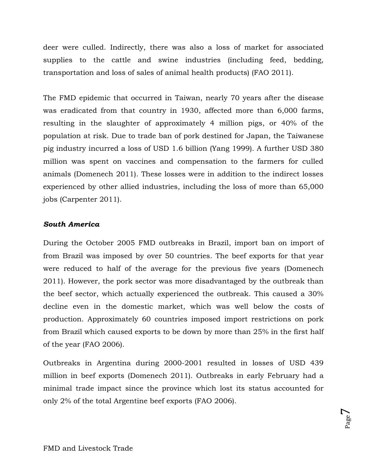deer were culled. Indirectly, there was also a loss of market for associated supplies to the cattle and swine industries (including feed, bedding, transportation and loss of sales of animal health products) (FAO 2011).

The FMD epidemic that occurred in Taiwan, nearly 70 years after the disease was eradicated from that country in 1930, affected more than 6,000 farms, resulting in the slaughter of approximately 4 million pigs, or 40% of the population at risk. Due to trade ban of pork destined for Japan, the Taiwanese pig industry incurred a loss of USD 1.6 billion (Yang 1999). A further USD 380 million was spent on vaccines and compensation to the farmers for culled animals (Domenech 2011). These losses were in addition to the indirect losses experienced by other allied industries, including the loss of more than 65,000 jobs (Carpenter 2011).

### *South America*

During the October 2005 FMD outbreaks in Brazil, import ban on import of from Brazil was imposed by over 50 countries. The beef exports for that year were reduced to half of the average for the previous five years (Domenech 2011). However, the pork sector was more disadvantaged by the outbreak than the beef sector, which actually experienced the outbreak. This caused a 30% decline even in the domestic market, which was well below the costs of production. Approximately 60 countries imposed import restrictions on pork from Brazil which caused exports to be down by more than 25% in the first half of the year (FAO 2006).

Outbreaks in Argentina during 2000-2001 resulted in losses of USD 439 million in beef exports (Domenech 2011). Outbreaks in early February had a minimal trade impact since the province which lost its status accounted for only 2% of the total Argentine beef exports (FAO 2006).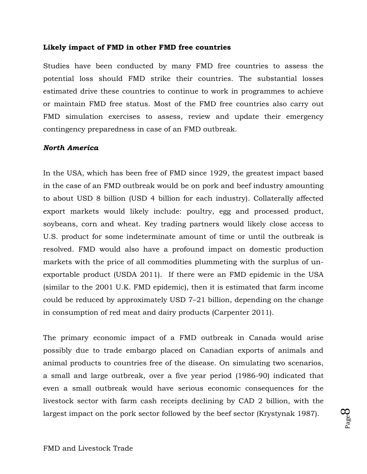#### **Likely impact of FMD in other FMD free countries**

Studies have been conducted by many FMD free countries to assess the potential loss should FMD strike their countries. The substantial losses estimated drive these countries to continue to work in programmes to achieve or maintain FMD free status. Most of the FMD free countries also carry out FMD simulation exercises to assess, review and update their emergency contingency preparedness in case of an FMD outbreak.

#### *North America*

In the USA, which has been free of FMD since 1929, the greatest impact based in the case of an FMD outbreak would be on pork and beef industry amounting to about USD 8 billion (USD 4 billion for each industry). Collaterally affected export markets would likely include: poultry, egg and processed product, soybeans, corn and wheat. Key trading partners would likely close access to U.S. product for some indeterminate amount of time or until the outbreak is resolved. FMD would also have a profound impact on domestic production markets with the price of all commodities plummeting with the surplus of unexportable product (USDA 2011). If there were an FMD epidemic in the USA (similar to the 2001 U.K. FMD epidemic), then it is estimated that farm income could be reduced by approximately USD 7–21 billion, depending on the change in consumption of red meat and dairy products (Carpenter 2011).

The primary economic impact of a FMD outbreak in Canada would arise possibly due to trade embargo placed on Canadian exports of animals and animal products to countries free of the disease. On simulating two scenarios, a small and large outbreak, over a five year period (1986-90) indicated that even a small outbreak would have serious economic consequences for the livestock sector with farm cash receipts declining by CAD 2 billion, with the largest impact on the pork sector followed by the beef sector (Krystynak 1987).

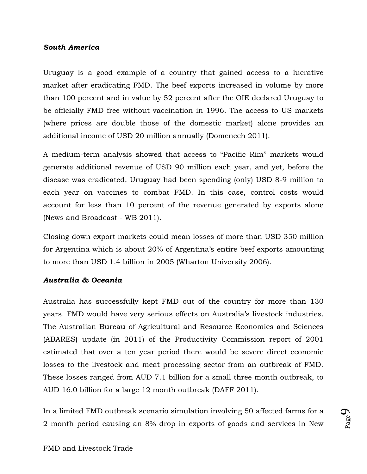### *South America*

Uruguay is a good example of a country that gained access to a lucrative market after eradicating FMD. The beef exports increased in volume by more than 100 percent and in value by 52 percent after the OIE declared Uruguay to be officially FMD free without vaccination in 1996. The access to US markets (where prices are double those of the domestic market) alone provides an additional income of USD 20 million annually (Domenech 2011).

A medium-term analysis showed that access to "Pacific Rim" markets would generate additional revenue of USD 90 million each year, and yet, before the disease was eradicated, Uruguay had been spending (only) USD 8-9 million to each year on vaccines to combat FMD. In this case, control costs would account for less than 10 percent of the revenue generated by exports alone (News and Broadcast - WB 2011).

Closing down export markets could mean losses of more than USD 350 million for Argentina which is about 20% of Argentina's entire beef exports amounting to more than USD 1.4 billion in 2005 (Wharton University 2006).

#### *Australia & Oceania*

Australia has successfully kept FMD out of the country for more than 130 years. FMD would have very serious effects on Australia's livestock industries. The Australian Bureau of Agricultural and Resource Economics and Sciences (ABARES) update (in 2011) of the Productivity Commission report of 2001 estimated that over a ten year period there would be severe direct economic losses to the livestock and meat processing sector from an outbreak of FMD. These losses ranged from AUD 7.1 billion for a small three month outbreak, to AUD 16.0 billion for a large 12 month outbreak (DAFF 2011).

In a limited FMD outbreak scenario simulation involving 50 affected farms for a 2 month period causing an 8% drop in exports of goods and services in New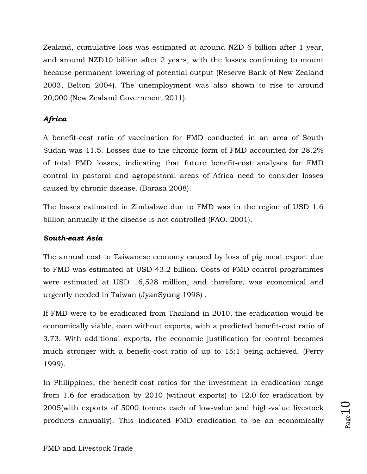Zealand, cumulative loss was estimated at around NZD 6 billion after 1 year, and around NZD10 billion after 2 years, with the losses continuing to mount because permanent lowering of potential output (Reserve Bank of New Zealand 2003, Belton 2004). The unemployment was also shown to rise to around 20,000 (New Zealand Government 2011).

# *Africa*

A benefit-cost ratio of vaccination for FMD conducted in an area of South Sudan was 11.5. Losses due to the chronic form of FMD accounted for 28.2% of total FMD losses, indicating that future benefit-cost analyses for FMD control in pastoral and agropastoral areas of Africa need to consider losses caused by chronic disease. (Barasa 2008).

The losses estimated in Zimbabwe due to FMD was in the region of USD 1.6 billion annually if the disease is not controlled (FAO. 2001).

### *South-east Asia*

The annual cost to Taiwanese economy caused by loss of pig meat export due to FMD was estimated at USD 43.2 billion. Costs of FMD control programmes were estimated at USD 16,528 million, and therefore, was economical and urgently needed in Taiwan (JyanSyung 1998) .

If FMD were to be eradicated from Thailand in 2010, the eradication would be economically viable, even without exports, with a predicted benefit-cost ratio of 3.73. With additional exports, the economic justification for control becomes much stronger with a benefit-cost ratio of up to 15:1 being achieved. (Perry 1999).

In Philippines, the benefit-cost ratios for the investment in eradication range from 1.6 for eradication by 2010 (without exports) to 12.0 for eradication by 2005(with exports of 5000 tonnes each of low-value and high-value livestock products annually). This indicated FMD eradication to be an economically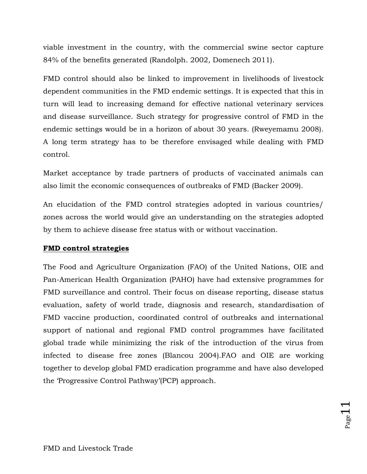viable investment in the country, with the commercial swine sector capture 84% of the benefits generated (Randolph. 2002, Domenech 2011).

FMD control should also be linked to improvement in livelihoods of livestock dependent communities in the FMD endemic settings. It is expected that this in turn will lead to increasing demand for effective national veterinary services and disease surveillance. Such strategy for progressive control of FMD in the endemic settings would be in a horizon of about 30 years. (Rweyemamu 2008). A long term strategy has to be therefore envisaged while dealing with FMD control.

Market acceptance by trade partners of products of vaccinated animals can also limit the economic consequences of outbreaks of FMD (Backer 2009).

An elucidation of the FMD control strategies adopted in various countries/ zones across the world would give an understanding on the strategies adopted by them to achieve disease free status with or without vaccination.

### **FMD control strategies**

The Food and Agriculture Organization (FAO) of the United Nations, OIE and Pan-American Health Organization (PAHO) have had extensive programmes for FMD surveillance and control. Their focus on disease reporting, disease status evaluation, safety of world trade, diagnosis and research, standardisation of FMD vaccine production, coordinated control of outbreaks and international support of national and regional FMD control programmes have facilitated global trade while minimizing the risk of the introduction of the virus from infected to disease free zones (Blancou 2004).FAO and OIE are working together to develop global FMD eradication programme and have also developed the 'Progressive Control Pathway'(PCP) approach.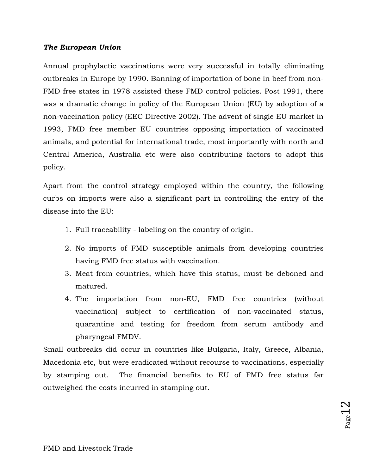### *The European Union*

Annual prophylactic vaccinations were very successful in totally eliminating outbreaks in Europe by 1990. Banning of importation of bone in beef from non-FMD free states in 1978 assisted these FMD control policies. Post 1991, there was a dramatic change in policy of the European Union (EU) by adoption of a non-vaccination policy (EEC Directive 2002). The advent of single EU market in 1993, FMD free member EU countries opposing importation of vaccinated animals, and potential for international trade, most importantly with north and Central America, Australia etc were also contributing factors to adopt this policy.

Apart from the control strategy employed within the country, the following curbs on imports were also a significant part in controlling the entry of the disease into the EU:

- 1. Full traceability labeling on the country of origin.
- 2. No imports of FMD susceptible animals from developing countries having FMD free status with vaccination.
- 3. Meat from countries, which have this status, must be deboned and matured.
- 4. The importation from non-EU, FMD free countries (without vaccination) subject to certification of non-vaccinated status, quarantine and testing for freedom from serum antibody and pharyngeal FMDV.

Small outbreaks did occur in countries like Bulgaria, Italy, Greece, Albania, Macedonia etc, but were eradicated without recourse to vaccinations, especially by stamping out. The financial benefits to EU of FMD free status far outweighed the costs incurred in stamping out.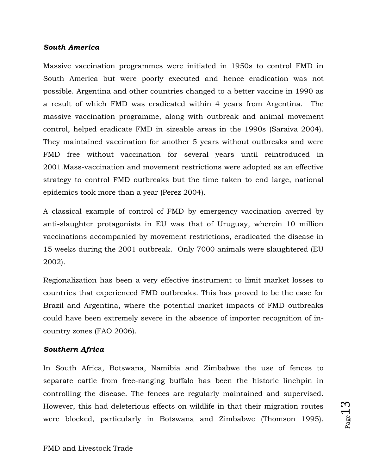### *South America*

Massive vaccination programmes were initiated in 1950s to control FMD in South America but were poorly executed and hence eradication was not possible. Argentina and other countries changed to a better vaccine in 1990 as a result of which FMD was eradicated within 4 years from Argentina. The massive vaccination programme, along with outbreak and animal movement control, helped eradicate FMD in sizeable areas in the 1990s (Saraiva 2004). They maintained vaccination for another 5 years without outbreaks and were FMD free without vaccination for several years until reintroduced in 2001.Mass-vaccination and movement restrictions were adopted as an effective strategy to control FMD outbreaks but the time taken to end large, national epidemics took more than a year (Perez 2004).

A classical example of control of FMD by emergency vaccination averred by anti-slaughter protagonists in EU was that of Uruguay, wherein 10 million vaccinations accompanied by movement restrictions, eradicated the disease in 15 weeks during the 2001 outbreak. Only 7000 animals were slaughtered (EU 2002).

Regionalization has been a very effective instrument to limit market losses to countries that experienced FMD outbreaks. This has proved to be the case for Brazil and Argentina, where the potential market impacts of FMD outbreaks could have been extremely severe in the absence of importer recognition of incountry zones (FAO 2006).

### *Southern Africa*

In South Africa, Botswana, Namibia and Zimbabwe the use of fences to separate cattle from free-ranging buffalo has been the historic linchpin in controlling the disease. The fences are regularly maintained and supervised. However, this had deleterious effects on wildlife in that their migration routes were blocked, particularly in Botswana and Zimbabwe (Thomson 1995).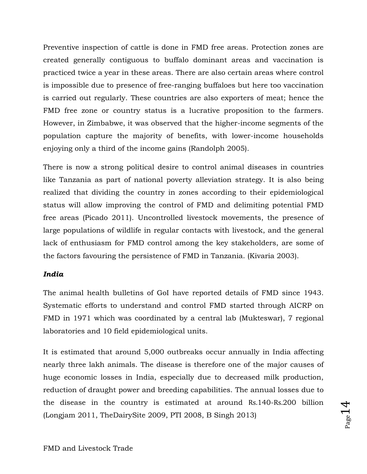Preventive inspection of cattle is done in FMD free areas. Protection zones are created generally contiguous to buffalo dominant areas and vaccination is practiced twice a year in these areas. There are also certain areas where control is impossible due to presence of free-ranging buffaloes but here too vaccination is carried out regularly. These countries are also exporters of meat; hence the FMD free zone or country status is a lucrative proposition to the farmers. However, in Zimbabwe, it was observed that the higher-income segments of the population capture the majority of benefits, with lower-income households enjoying only a third of the income gains (Randolph 2005).

There is now a strong political desire to control animal diseases in countries like Tanzania as part of national poverty alleviation strategy. It is also being realized that dividing the country in zones according to their epidemiological status will allow improving the control of FMD and delimiting potential FMD free areas (Picado 2011). Uncontrolled livestock movements, the presence of large populations of wildlife in regular contacts with livestock, and the general lack of enthusiasm for FMD control among the key stakeholders, are some of the factors favouring the persistence of FMD in Tanzania. (Kivaria 2003).

### *India*

The animal health bulletins of GoI have reported details of FMD since 1943. Systematic efforts to understand and control FMD started through AICRP on FMD in 1971 which was coordinated by a central lab (Mukteswar), 7 regional laboratories and 10 field epidemiological units.

It is estimated that around 5,000 outbreaks occur annually in India affecting nearly three lakh animals. The disease is therefore one of the major causes of huge economic losses in India, especially due to decreased milk production, reduction of draught power and breeding capabilities. The annual losses due to the disease in the country is estimated at around Rs.140-Rs.200 billion (Longjam 2011, TheDairySite 2009, PTI 2008, B Singh 2013)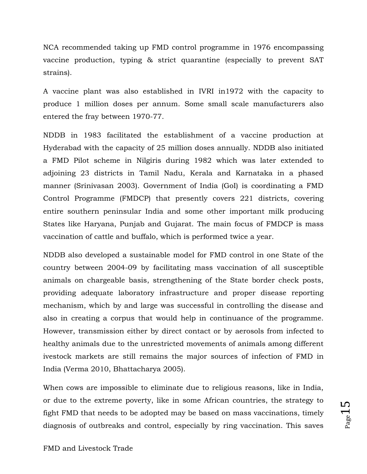NCA recommended taking up FMD control programme in 1976 encompassing vaccine production, typing & strict quarantine (especially to prevent SAT strains).

A vaccine plant was also established in IVRI in1972 with the capacity to produce 1 million doses per annum. Some small scale manufacturers also entered the fray between 1970-77.

NDDB in 1983 facilitated the establishment of a vaccine production at Hyderabad with the capacity of 25 million doses annually. NDDB also initiated a FMD Pilot scheme in Nilgiris during 1982 which was later extended to adjoining 23 districts in Tamil Nadu, Kerala and Karnataka in a phased manner (Srinivasan 2003). Government of India (GoI) is coordinating a FMD Control Programme (FMDCP) that presently covers 221 districts, covering entire southern peninsular India and some other important milk producing States like Haryana, Punjab and Gujarat. The main focus of FMDCP is mass vaccination of cattle and buffalo, which is performed twice a year.

NDDB also developed a sustainable model for FMD control in one State of the country between 2004-09 by facilitating mass vaccination of all susceptible animals on chargeable basis, strengthening of the State border check posts, providing adequate laboratory infrastructure and proper disease reporting mechanism, which by and large was successful in controlling the disease and also in creating a corpus that would help in continuance of the programme. However, transmission either by direct contact or by aerosols from infected to healthy animals due to the unrestricted movements of animals among different ivestock markets are still remains the major sources of infection of FMD in India (Verma 2010, Bhattacharya 2005).

When cows are impossible to eliminate due to religious reasons, like in India, or due to the extreme poverty, like in some African countries, the strategy to fight FMD that needs to be adopted may be based on mass vaccinations, timely diagnosis of outbreaks and control, especially by ring vaccination. This saves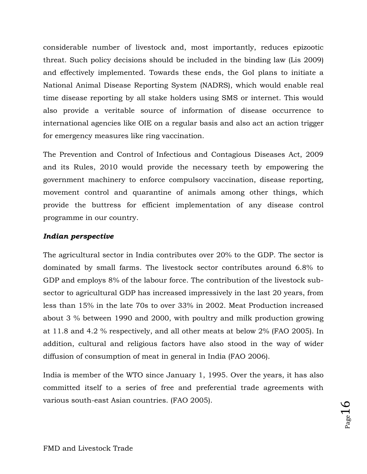considerable number of livestock and, most importantly, reduces epizootic threat. Such policy decisions should be included in the binding law (Lis 2009) and effectively implemented. Towards these ends, the GoI plans to initiate a National Animal Disease Reporting System (NADRS), which would enable real time disease reporting by all stake holders using SMS or internet. This would also provide a veritable source of information of disease occurrence to international agencies like OIE on a regular basis and also act an action trigger for emergency measures like ring vaccination.

The Prevention and Control of Infectious and Contagious Diseases Act, 2009 and its Rules, 2010 would provide the necessary teeth by empowering the government machinery to enforce compulsory vaccination, disease reporting, movement control and quarantine of animals among other things, which provide the buttress for efficient implementation of any disease control programme in our country.

### *Indian perspective*

The agricultural sector in India contributes over 20% to the GDP. The sector is dominated by small farms. The livestock sector contributes around 6.8% to GDP and employs 8% of the labour force. The contribution of the livestock subsector to agricultural GDP has increased impressively in the last 20 years, from less than 15% in the late 70s to over 33% in 2002. Meat Production increased about 3 % between 1990 and 2000, with poultry and milk production growing at 11.8 and 4.2 % respectively, and all other meats at below 2% (FAO 2005). In addition, cultural and religious factors have also stood in the way of wider diffusion of consumption of meat in general in India (FAO 2006).

India is member of the WTO since January 1, 1995. Over the years, it has also committed itself to a series of free and preferential trade agreements with various south-east Asian countries. (FAO 2005).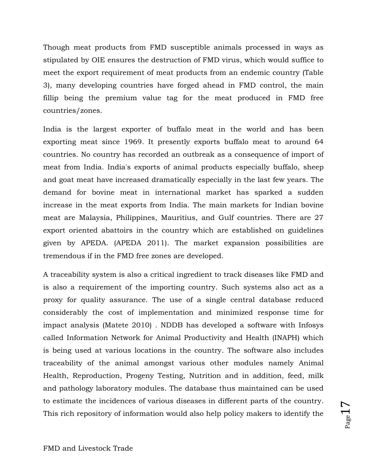Though meat products from FMD susceptible animals processed in ways as stipulated by OIE ensures the destruction of FMD virus, which would suffice to meet the export requirement of meat products from an endemic country (Table 3), many developing countries have forged ahead in FMD control, the main fillip being the premium value tag for the meat produced in FMD free countries/zones.

India is the largest exporter of buffalo meat in the world and has been exporting meat since 1969. It presently exports buffalo meat to around 64 countries. No country has recorded an outbreak as a consequence of import of meat from India. India's exports of animal products especially buffalo, sheep and goat meat have increased dramatically especially in the last few years. The demand for bovine meat in international market has sparked a sudden increase in the meat exports from India. The main markets for Indian bovine meat are Malaysia, Philippines, Mauritius, and Gulf countries. There are 27 export oriented abattoirs in the country which are established on guidelines given by APEDA. (APEDA 2011). The market expansion possibilities are tremendous if in the FMD free zones are developed.

A traceability system is also a critical ingredient to track diseases like FMD and is also a requirement of the importing country. Such systems also act as a proxy for quality assurance. The use of a single central database reduced considerably the cost of implementation and minimized response time for impact analysis (Matete 2010) . NDDB has developed a software with Infosys called Information Network for Animal Productivity and Health (INAPH) which is being used at various locations in the country. The software also includes traceability of the animal amongst various other modules namely Animal Health, Reproduction, Progeny Testing, Nutrition and in addition, feed, milk and pathology laboratory modules. The database thus maintained can be used to estimate the incidences of various diseases in different parts of the country. This rich repository of information would also help policy makers to identify the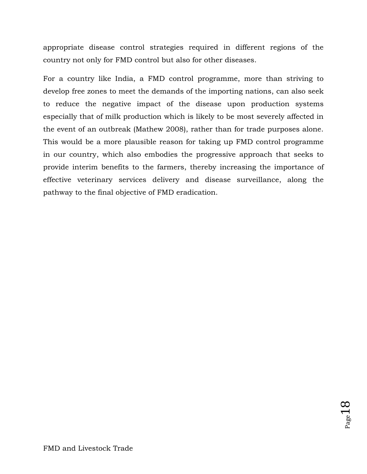appropriate disease control strategies required in different regions of the country not only for FMD control but also for other diseases.

For a country like India, a FMD control programme, more than striving to develop free zones to meet the demands of the importing nations, can also seek to reduce the negative impact of the disease upon production systems especially that of milk production which is likely to be most severely affected in the event of an outbreak (Mathew 2008), rather than for trade purposes alone. This would be a more plausible reason for taking up FMD control programme in our country, which also embodies the progressive approach that seeks to provide interim benefits to the farmers, thereby increasing the importance of effective veterinary services delivery and disease surveillance, along the pathway to the final objective of FMD eradication.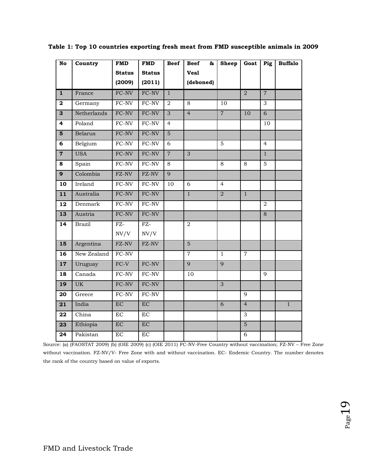| $\overline{No}$         | Country        | <b>FMD</b>          | <b>FMD</b>             | <b>Beef</b>    | <b>Beef</b><br>85 | <b>Sheep</b>   | Goat           | Pig            | <b>Buffalo</b> |
|-------------------------|----------------|---------------------|------------------------|----------------|-------------------|----------------|----------------|----------------|----------------|
|                         |                | <b>Status</b>       | <b>Status</b>          |                | <b>Veal</b>       |                |                |                |                |
|                         |                | (2009)              | (2011)                 |                | (deboned)         |                |                |                |                |
| $\overline{\mathbf{1}}$ | France         | FC-NV               | FC-NV                  | $\mathbf{1}$   |                   |                | $\overline{2}$ | $\overline{7}$ |                |
| $\mathbf{2}$            | Germany        | $FC-NV$             | $\overline{FC}$ -NV    | $\overline{2}$ | 8                 | 10             |                | 3              |                |
| $\overline{3}$          | Netherlands    | FC-NV               | FC-NV                  | $\overline{3}$ | $\overline{4}$    | $\overline{7}$ | 10             | $\overline{6}$ |                |
| 4                       | Poland         | FC-NV               | FC-NV                  | $\overline{4}$ |                   |                |                | 10             |                |
| 5                       | <b>Belarus</b> | FC-NV               | $\operatorname{FC-NV}$ | $\overline{5}$ |                   |                |                |                |                |
| 6                       | Belgium        | FC-NV               | FC-NV                  | 6              |                   | 5              |                | $\overline{4}$ |                |
| $\overline{7}$          | <b>USA</b>     | FC-NV               | FC-NV                  | $\overline{7}$ | 3                 |                |                | $\overline{1}$ |                |
| 8                       | Spain          | FC-NV               | FC-NV                  | 8              |                   | 8              | 8              | $\overline{5}$ |                |
| $\overline{9}$          | Colombia       | FZ-NV               | FZ-NV                  | $\overline{9}$ |                   |                |                |                |                |
| 10                      | Ireland        | FC-NV               | ${\rm FC\text{-}NV}$   | 10             | 6                 | $\overline{4}$ |                |                |                |
| 11                      | Australia      | FC-NV               | $FC-NV$                |                | $\mathbf{1}$      | $\overline{a}$ | $\overline{1}$ |                |                |
| 12                      | Denmark        | FC-NV               | FC-NV                  |                |                   |                |                | 2              |                |
| 13                      | Austria        | FC-NV               | FC-NV                  |                |                   |                |                | $\overline{8}$ |                |
| 14                      | <b>Brazil</b>  | $\overline{FZ}$     | $FZ-$                  |                | 2                 |                |                |                |                |
|                         |                | NV/V                | NV/V                   |                |                   |                |                |                |                |
| 15                      | Argentina      | $FZ-NV$             | FZ-NV                  |                | $\overline{5}$    |                |                |                |                |
| 16                      | New Zealand    | $\overline{FC-NV}$  |                        |                | $\overline{7}$    | $\mathbf{1}$   | $\overline{7}$ |                |                |
| 17                      | Uruguay        | $FC-V$              | $FC-NV$                |                | 9                 | 9              |                |                |                |
| 18                      | Canada         | FC-NV               | FC-NV                  |                | 10                |                |                | 9              |                |
| 19                      | <b>UK</b>      | FC-NV               | FC-NV                  |                |                   | $\overline{3}$ |                |                |                |
| 20                      | Greece         | $FC-NV$             | $FC-NV$                |                |                   |                | 9              |                |                |
| 21                      | India          | $\overline{EC}$     | EC                     |                |                   | $\overline{6}$ | $\overline{4}$ |                | $\overline{1}$ |
| 22                      | China          | EC                  | <b>EC</b>              |                |                   |                | $\overline{3}$ |                |                |
| $\overline{23}$         | Ethiopia       | EC                  | EC                     |                |                   |                | $\overline{5}$ |                |                |
| 24                      | Pakistan       | $\operatorname{EC}$ | $\rm EC$               |                |                   |                | 6              |                |                |

**Table 1: Top 10 countries exporting fresh meat from FMD susceptible animals in 2009**

Source: (a) (FAOSTAT 2009) (b) (OIE 2009) (c) (OIE 2011) FC-NV-Free Country without vaccination; FZ-NV – Free Zone without vaccination. FZ-NV/V- Free Zone with and without vaccination. EC- Endemic Country. The number denotes the rank of the country based on value of exports.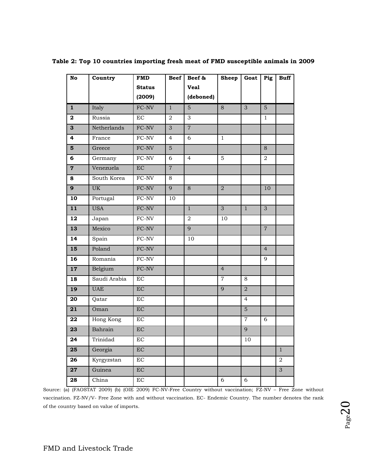| $\overline{No}$ | Country      | <b>FMD</b>             | <b>Beef</b>      | Beef &         | <b>Sheep</b>   | Goat           | Pig            | <b>Buff</b>    |
|-----------------|--------------|------------------------|------------------|----------------|----------------|----------------|----------------|----------------|
|                 |              | <b>Status</b>          |                  | <b>Veal</b>    |                |                |                |                |
|                 |              | (2009)                 |                  | (deboned)      |                |                |                |                |
| $\mathbf{1}$    | Italy        | FC-NV                  | $\mathbf{1}$     | 5              | 8              | 3              | $\overline{5}$ |                |
| $\mathbf{2}$    | Russia       | $\rm EC$               | $\boldsymbol{2}$ | 3              |                |                | $\mathbf{1}$   |                |
| 3               | Netherlands  | $\operatorname{FC-NV}$ | $\overline{3}$   | $\overline{7}$ |                |                |                |                |
| 4               | France       | FC-NV                  | $\overline{4}$   | 6              | $\mathbf{1}$   |                |                |                |
| 5               | Greece       | $FC-NV$                | $\overline{5}$   |                |                |                | 8              |                |
| 6               | Germany      | FC-NV                  | 6                | $\overline{4}$ | 5              |                | $\overline{2}$ |                |
| $\overline{7}$  | Venezuela    | EC                     | $\overline{7}$   |                |                |                |                |                |
| 8               | South Korea  | FC-NV                  | $\,8\,$          |                |                |                |                |                |
| $\overline{9}$  | <b>UK</b>    | FC-NV                  | $\overline{9}$   | 8              | $\overline{2}$ |                | 10             |                |
| 10              | Portugal     | FC-NV                  | 10               |                |                |                |                |                |
| 11              | <b>USA</b>   | FC-NV                  |                  | $\mathbf{1}$   | $\overline{3}$ | $\mathbf{1}$   | $\overline{3}$ |                |
| 12              | Japan        | ${\rm FC\text{-}NV}$   |                  | $\overline{2}$ | 10             |                |                |                |
| $\overline{13}$ | Mexico       | FC-NV                  |                  | $\overline{9}$ |                |                | $\overline{7}$ |                |
| 14              | Spain        | FC-NV                  |                  | 10             |                |                |                |                |
| 15              | Poland       | FC-NV                  |                  |                |                |                | $\overline{4}$ |                |
| $\overline{16}$ | Romania      | FC-NV                  |                  |                |                |                | 9              |                |
| 17              | Belgium      | $FC-NV$                |                  |                | $\overline{4}$ |                |                |                |
| 18              | Saudi Arabia | $\rm EC$               |                  |                | $\overline{7}$ | 8              |                |                |
| 19              | <b>UAE</b>   | $\operatorname{EC}$    |                  |                | 9              | $\overline{a}$ |                |                |
| 20              | Qatar        | $\rm EC$               |                  |                |                | $\overline{4}$ |                |                |
| 21              | Oman         | EC                     |                  |                |                | $\overline{5}$ |                |                |
| 22              | Hong Kong    | $\rm EC$               |                  |                |                | $\overline{7}$ | 6              |                |
| 23              | Bahrain      | $\operatorname{EC}$    |                  |                |                | 9              |                |                |
| 24              | Trinidad     | $\overline{EC}$        |                  |                |                | 10             |                |                |
| 25              | Georgia      | $\operatorname{EC}$    |                  |                |                |                |                | $\overline{1}$ |
| 26              | Kyrgyzstan   | $\operatorname{EC}$    |                  |                |                |                |                | $\overline{a}$ |
| $\overline{27}$ | Guinea       | EC                     |                  |                |                |                |                | $\overline{3}$ |
| 28              | China        | EC                     |                  |                | 6              | 6              |                |                |

**Table 2: Top 10 countries importing fresh meat of FMD susceptible animals in 2009**

Source: (a) (FAOSTAT 2009) (b) (OIE 2009) FC-NV-Free Country without vaccination; FZ-NV – Free Zone without vaccination. FZ-NV/V- Free Zone with and without vaccination. EC- Endemic Country. The number denotes the rank of the country based on value of imports.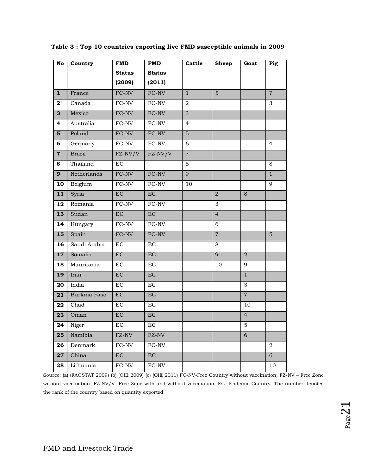| No             | Country      | <b>FMD</b>          | <b>FMD</b>             | Cattle         | <b>Sheep</b>   | Goat             | Pig            |
|----------------|--------------|---------------------|------------------------|----------------|----------------|------------------|----------------|
|                |              | <b>Status</b>       | <b>Status</b>          |                |                |                  |                |
|                |              | (2009)              | (2011)                 |                |                |                  |                |
| $\mathbf{1}$   | France       | FC-NV               | FC-NV                  | $\mathbf{1}$   | $\overline{5}$ |                  | $\overline{7}$ |
| $\mathbf{2}$   | Canada       | FC-NV               | FC-NV                  | $\overline{2}$ |                |                  | 3              |
| 3              | Mexico       | FC-NV               | FC-NV                  | $\overline{3}$ |                |                  |                |
| 4              | Australia    | FC-NV               | FC-NV                  | $\overline{4}$ | 1              |                  |                |
| 5              | Poland       | FC-NV               | FC-NV                  | $5\phantom{.}$ |                |                  |                |
| 6              | Germany      | FC-NV               | FC-NV                  | 6              |                |                  | $\overline{4}$ |
| $\overline{7}$ | Brazil       | $FZ-NV/V$           | $FZ-NV/V$              | $\overline{7}$ |                |                  |                |
| 8              | Thailand     | $\operatorname{EC}$ |                        | 8              |                |                  | 8              |
| 9              | Netherlands  | FC-NV               | FC-NV                  | $\overline{9}$ |                |                  | $\mathbf{1}$   |
| 10             | Belgium      | FC-NV               | $\operatorname{FC-NV}$ | 10             |                |                  | 9              |
| 11             | Syria        | $\rm EC$            | $\rm EC$               |                | $\overline{2}$ | 8                |                |
| 12             | Romania      | FC-NV               | $\operatorname{FC-NV}$ |                | 3              |                  |                |
| 13             | Sudan        | $\rm EC$            | $\rm EC$               |                | $\overline{4}$ |                  |                |
| 14             | Hungary      | FC-NV               | FC-NV                  |                | 6              |                  |                |
| 15             | Spain        | FC-NV               | FC-NV                  |                | $\overline{7}$ |                  | 5              |
| 16             | Saudi Arabia | EC                  | EC                     |                | 8              |                  |                |
| 17             | Somalia      | $\overline{EC}$     | $\overline{EC}$        |                | $\overline{9}$ | $\overline{2}$   |                |
| 18             | Mauritania   | EC                  | EC                     |                | 10             | 9                |                |
| 19             | Iran         | EC                  | $\overline{EC}$        |                |                | $\mathbf{1}$     |                |
| 20             | India        | EC                  | $\operatorname{EC}$    |                |                | 3                |                |
| 21             | Burkina Faso | EC                  | EC                     |                |                | $\overline{7}$   |                |
| 22             | Chad         | $\operatorname{EC}$ | EC                     |                |                | 10               |                |
| 23             | Oman         | EC                  | EC                     |                |                | $\overline{4}$   |                |
| 24             | Niger        | $\operatorname{EC}$ | $\operatorname{EC}$    |                |                | 5                |                |
| 25             | Namibia      | FZ-NV               | FZ-NV                  |                |                | $\boldsymbol{6}$ |                |
| 26             | Denmark      | $FC-NV$             | FC-NV                  |                |                |                  | 2              |
| 27             | China        | EC                  | EC                     |                |                |                  | 6              |
| 28             | Lithuania    | FC-NV               | ${\rm FC\text{-}NV}$   |                |                |                  | 10             |

 **Table 3 : Top 10 countries exporting live FMD susceptible animals in 2009**

Source: (a) (FAOSTAT 2009) (b) (OIE 2009) (c) (OIE 2011) FC-NV-Free Country without vaccination; FZ-NV – Free Zone without vaccination. FZ-NV/V- Free Zone with and without vaccination. EC- Endemic Country. The number denotes the rank of the country based on quantity exported.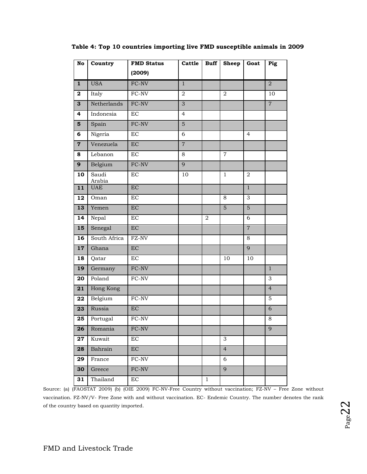| No             | Country         | <b>FMD Status</b>   | Cattle         | <b>Buff</b>  | <b>Sheep</b>   | Goat           | Pig            |
|----------------|-----------------|---------------------|----------------|--------------|----------------|----------------|----------------|
|                |                 | (2009)              |                |              |                |                |                |
| $\mathbf{1}$   | <b>USA</b>      | FC-NV               | $\mathbf{1}$   |              |                |                | $\overline{2}$ |
| $\mathbf{2}$   | Italy           | FC-NV               | $\overline{2}$ |              | $\overline{2}$ |                | 10             |
| 3              | Netherlands     | FC-NV               | $\overline{3}$ |              |                |                | $\overline{7}$ |
| 4              | Indonesia       | $\operatorname{EC}$ | $\overline{4}$ |              |                |                |                |
| $\overline{5}$ | Spain           | FC-NV               | $\overline{5}$ |              |                |                |                |
| 6              | Nigeria         | EC                  | 6              |              |                | $\overline{4}$ |                |
| $\mathbf 7$    | Venezuela       | $\rm EC$            | $\overline{7}$ |              |                |                |                |
| 8              | Lebanon         | EC                  | 8              |              | $\overline{7}$ |                |                |
| $\overline{9}$ | Belgium         | $FC-NV$             | $\overline{9}$ |              |                |                |                |
| 10             | Saudi<br>Arabia | EC                  | 10             |              | $\mathbf{1}$   | 2              |                |
| 11             | <b>UAE</b>      | EC                  |                |              |                | $\mathbf{1}$   |                |
| 12             | Oman            | EC                  |                |              | 8              | 3              |                |
| 13             | Yemen           | EC                  |                |              | 5              | $\overline{5}$ |                |
| 14             | Nepal           | EC                  |                | $\,2$        |                | 6              |                |
| 15             | Senegal         | EC                  |                |              |                | $\overline{7}$ |                |
| 16             | South Africa    | FZ-NV               |                |              |                | 8              |                |
| 17             | Ghana           | EC                  |                |              |                | 9              |                |
| 18             | Qatar           | $\rm EC$            |                |              | 10             | 10             |                |
| 19             | Germany         | FC-NV               |                |              |                |                | $\overline{1}$ |
| 20             | Poland          | FC-NV               |                |              |                |                | $\overline{3}$ |
| 21             | Hong Kong       |                     |                |              |                |                | $\overline{4}$ |
| 22             | Belgium         | FC-NV               |                |              |                |                | 5              |
| 23             | Russia          | EC                  |                |              |                |                | $\overline{6}$ |
| 25             | Portugal        | FC-NV               |                |              |                |                | 8              |
| 26             | Romania         | $FC-NV$             |                |              |                |                | 9              |
| 27             | Kuwait          | EC                  |                |              | 3              |                |                |
| 28             | Bahrain         | EC                  |                |              | $\overline{4}$ |                |                |
| 29             | France          | FC-NV               |                |              | 6              |                |                |
| 30             | Greece          | FC-NV               |                |              | $\overline{9}$ |                |                |
| 31             | Thailand        | EC                  |                | $\mathbf{1}$ |                |                |                |

 **Table 4: Top 10 countries importing live FMD susceptible animals in 2009**

Source: (a) (FAOSTAT 2009) (b) (OIE 2009) FC-NV-Free Country without vaccination; FZ-NV – Free Zone without vaccination. FZ-NV/V- Free Zone with and without vaccination. EC- Endemic Country. The number denotes the rank of the country based on quantity imported.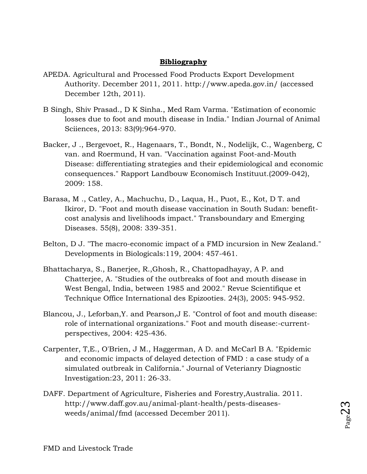# **Bibliography**

- APEDA. Agricultural and Processed Food Products Export Development Authority. December 2011, 2011. http://www.apeda.gov.in/ (accessed December 12th, 2011).
- B Singh, Shiv Prasad., D K Sinha., Med Ram Varma. "Estimation of economic losses due to foot and mouth disease in India." Indian Journal of Animal Sciiences, 2013: 83(9):964-970.
- Backer, J ., Bergevoet, R., Hagenaars, T., Bondt, N., Nodelijk, C., Wagenberg, C van. and Roermund, H van. "Vaccination against Foot-and-Mouth Disease: differentiating strategies and their epidemiological and economic consequences." Rapport Landbouw Economisch Instituut.(2009-042), 2009: 158.
- Barasa, M ., Catley, A., Machuchu, D., Laqua, H., Puot, E., Kot, D T. and Ikiror, D. "Foot and mouth disease vaccination in South Sudan: benefitcost analysis and livelihoods impact." Transboundary and Emerging Diseases. 55(8), 2008: 339-351.
- Belton, D J. "The macro-economic impact of a FMD incursion in New Zealand." Developments in Biologicals:119, 2004: 457-461.
- Bhattacharya, S., Banerjee, R.,Ghosh, R., Chattopadhayay, A P. and Chatterjee, A. "Studies of the outbreaks of foot and mouth disease in West Bengal, India, between 1985 and 2002." Revue Scientifique et Technique Office International des Epizooties. 24(3), 2005: 945-952.
- Blancou, J., Leforban,Y. and Pearson,J E. "Control of foot and mouth disease: role of international organizations." Foot and mouth disease:-currentperspectives, 2004: 425-436.
- Carpenter, T,E., O'Brien, J M., Haggerman, A D. and McCarl B A. "Epidemic and economic impacts of delayed detection of FMD : a case study of a simulated outbreak in California." Journal of Veterianry Diagnostic Investigation:23, 2011: 26-33.
- DAFF. Department of Agriculture, Fisheries and Forestry,Australia. 2011. http://www.daff.gov.au/animal-plant-health/pests-diseasesweeds/animal/fmd (accessed December 2011).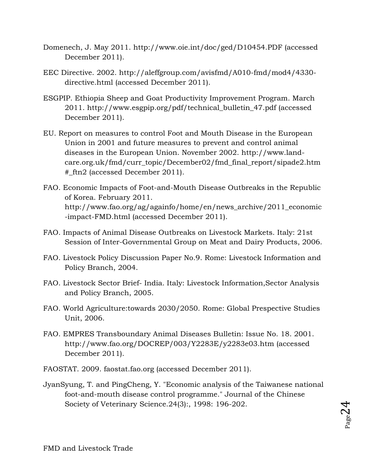- Domenech, J. May 2011. http://www.oie.int/doc/ged/D10454.PDF (accessed December 2011).
- EEC Directive. 2002. http://aleffgroup.com/avisfmd/A010-fmd/mod4/4330 directive.html (accessed December 2011).
- ESGPIP. Ethiopia Sheep and Goat Productivity Improvement Program. March 2011. http://www.esgpip.org/pdf/technical\_bulletin\_47.pdf (accessed December 2011).
- EU. Report on measures to control Foot and Mouth Disease in the European Union in 2001 and future measures to prevent and control animal diseases in the European Union. November 2002. http://www.landcare.org.uk/fmd/curr\_topic/December02/fmd\_final\_report/sipade2.htm #\_ftn2 (accessed December 2011).
- FAO. Economic Impacts of Foot-and-Mouth Disease Outbreaks in the Republic of Korea. February 2011. http://www.fao.org/ag/againfo/home/en/news\_archive/2011\_economic -impact-FMD.html (accessed December 2011).
- FAO. Impacts of Animal Disease Outbreaks on Livestock Markets. Italy: 21st Session of Inter-Governmental Group on Meat and Dairy Products, 2006.
- FAO. Livestock Policy Discussion Paper No.9. Rome: Livestock Information and Policy Branch, 2004.
- FAO. Livestock Sector Brief- India. Italy: Livestock Information,Sector Analysis and Policy Branch, 2005.
- FAO. World Agriculture:towards 2030/2050. Rome: Global Prespective Studies Unit, 2006.
- FAO. EMPRES Transboundary Animal Diseases Bulletin: Issue No. 18. 2001. http://www.fao.org/DOCREP/003/Y2283E/y2283e03.htm (accessed December 2011).
- FAOSTAT. 2009. faostat.fao.org (accessed December 2011).
- JyanSyung, T. and PingCheng, Y. "Economic analysis of the Taiwanese national foot-and-mouth disease control programme." Journal of the Chinese Society of Veterinary Science.24(3):, 1998: 196-202.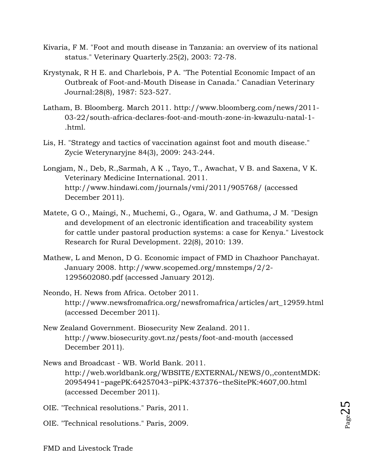- Kivaria, F M. "Foot and mouth disease in Tanzania: an overview of its national status." Veterinary Quarterly.25(2), 2003: 72-78.
- Krystynak, R H E. and Charlebois, P A. "The Potential Economic Impact of an Outbreak of Foot-and-Mouth Disease in Canada." Canadian Veterinary Journal:28(8), 1987: 523-527.
- Latham, B. Bloomberg. March 2011. http://www.bloomberg.com/news/2011- 03-22/south-africa-declares-foot-and-mouth-zone-in-kwazulu-natal-1- .html.
- Lis, H. "Strategy and tactics of vaccination against foot and mouth disease." Zycie Weterynaryjne 84(3), 2009: 243-244.
- Longjam, N., Deb, R.,Sarmah, A K ., Tayo, T., Awachat, V B. and Saxena, V K. Veterinary Medicine International. 2011. http://www.hindawi.com/journals/vmi/2011/905768/ (accessed December 2011).
- Matete, G O., Maingi, N., Muchemi, G., Ogara, W. and Gathuma, J M. "Design and development of an electronic identification and traceability system for cattle under pastoral production systems: a case for Kenya." Livestock Research for Rural Development. 22(8), 2010: 139.
- Mathew, L and Menon, D G. Economic impact of FMD in Chazhoor Panchayat. January 2008. http://www.scopemed.org/mnstemps/2/2- 1295602080.pdf (accessed January 2012).
- Neondo, H. News from Africa. October 2011. http://www.newsfromafrica.org/newsfromafrica/articles/art\_12959.html (accessed December 2011).
- New Zealand Government. Biosecurity New Zealand. 2011. http://www.biosecurity.govt.nz/pests/foot-and-mouth (accessed December 2011).
- News and Broadcast WB. World Bank. 2011. http://web.worldbank.org/WBSITE/EXTERNAL/NEWS/0,,contentMDK: 20954941~pagePK:64257043~piPK:437376~theSitePK:4607,00.html (accessed December 2011).
- OIE. "Technical resolutions." Paris, 2011.
- OIE. "Technical resolutions." Paris, 2009.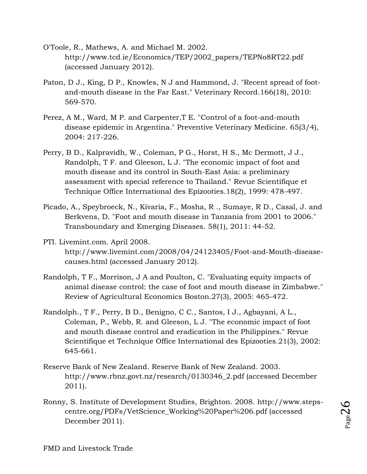- O'Toole, R., Mathews, A. and Michael M. 2002. http://www.tcd.ie/Economics/TEP/2002\_papers/TEPNo8RT22.pdf (accessed January 2012).
- Paton, D J., King, D P., Knowles, N J and Hammond, J. "Recent spread of footand-mouth disease in the Far East." Veterinary Record.166(18), 2010: 569-570.
- Perez, A M., Ward, M P. and Carpenter,T E. "Control of a foot-and-mouth disease epidemic in Argentina." Preventive Veterinary Medicine. 65(3/4), 2004: 217-226.
- Perry, B D., Kalpravidh, W., Coleman, P G., Horst, H S., Mc Dermott, J J., Randolph, T F. and Gleeson, L J. "The economic impact of foot and mouth disease and its control in South-East Asia: a preliminary assessment with special reference to Thailand." Revue Scientifique et Technique Office International des Epizooties.18(2), 1999: 478-497.
- Picado, A., Speybroeck, N., Kivaria, F., Mosha, R ., Sumaye, R D., Casal, J. and Berkvens, D. "Foot and mouth disease in Tanzania from 2001 to 2006." Transboundary and Emerging Diseases. 58(1), 2011: 44-52.
- PTI. Livemint.com. April 2008. http://www.livemint.com/2008/04/24123405/Foot-and-Mouth-diseasecauses.html (accessed January 2012).
- Randolph, T F., Morrison, J A and Poulton, C. "Evaluating equity impacts of animal disease control: the case of foot and mouth disease in Zimbabwe." Review of Agricultural Economics Boston.27(3), 2005: 465-472.
- Randolph., T F., Perry, B D., Benigno, C C., Santos, I J., Agbayani, A L., Coleman, P., Webb, R. and Gleeson, L J. "The economic impact of foot and mouth disease control and eradication in the Philippines." Revue Scientifique et Technique Office International des Epizooties.21(3), 2002: 645-661.
- Reserve Bank of New Zealand. Reserve Bank of New Zealand. 2003. http://www.rbnz.govt.nz/research/0130346\_2.pdf (accessed December 2011).
- Ronny, S. Institute of Development Studies, Brighton. 2008. http://www.stepscentre.org/PDFs/VetScience\_Working%20Paper%206.pdf (accessed December 2011).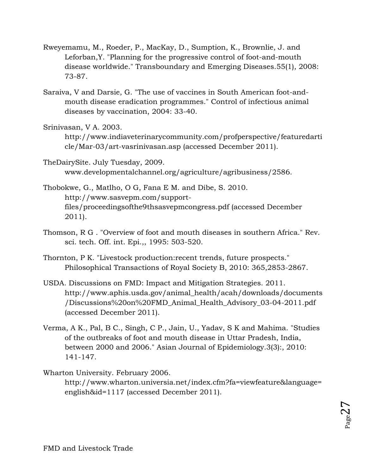- Rweyemamu, M., Roeder, P., MacKay, D., Sumption, K., Brownlie, J. and Leforban,Y. "Planning for the progressive control of foot-and-mouth disease worldwide." Transboundary and Emerging Diseases.55(1), 2008: 73-87.
- Saraiva, V and Darsie, G. "The use of vaccines in South American foot-andmouth disease eradication programmes." Control of infectious animal diseases by vaccination, 2004: 33-40.
- Srinivasan, V A. 2003.

http://www.indiaveterinarycommunity.com/profperspective/featuredarti cle/Mar-03/art-vasrinivasan.asp (accessed December 2011).

- TheDairySite. July Tuesday, 2009. www.developmentalchannel.org/agriculture/agribusiness/2586.
- Thobokwe, G., Matlho, O G, Fana E M. and Dibe, S. 2010. http://www.sasvepm.com/supportfiles/proceedingsofthe9thsasvepmcongress.pdf (accessed December 2011).
- Thomson, R G . "Overview of foot and mouth diseases in southern Africa." Rev. sci. tech. Off. int. Epi.,, 1995: 503-520.
- Thornton, P K. "Livestock production:recent trends, future prospects." Philosophical Transactions of Royal Society B, 2010: 365,2853-2867.
- USDA. Discussions on FMD: Impact and Mitigation Strategies. 2011. http://www.aphis.usda.gov/animal\_health/acah/downloads/documents /Discussions%20on%20FMD\_Animal\_Health\_Advisory\_03-04-2011.pdf (accessed December 2011).
- Verma, A K., Pal, B C., Singh, C P., Jain, U., Yadav, S K and Mahima. "Studies of the outbreaks of foot and mouth disease in Uttar Pradesh, India, between 2000 and 2006." Asian Journal of Epidemiology.3(3):, 2010: 141-147.
- Wharton University. February 2006. http://www.wharton.universia.net/index.cfm?fa=viewfeature&language= english&id=1117 (accessed December 2011).